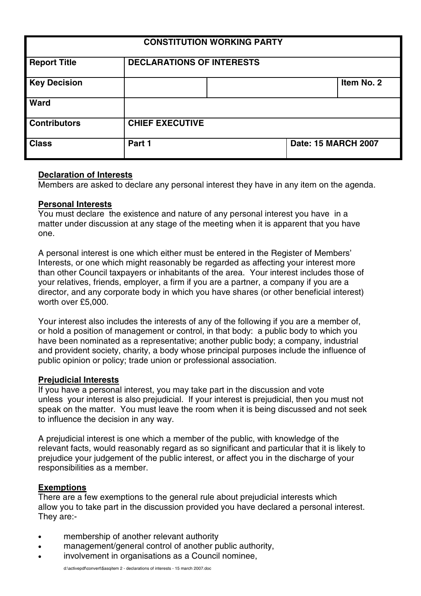| <b>CONSTITUTION WORKING PARTY</b> |                                  |  |                            |            |
|-----------------------------------|----------------------------------|--|----------------------------|------------|
| <b>Report Title</b>               | <b>DECLARATIONS OF INTERESTS</b> |  |                            |            |
| <b>Key Decision</b>               |                                  |  |                            | Item No. 2 |
| <b>Ward</b>                       |                                  |  |                            |            |
| <b>Contributors</b>               | <b>CHIEF EXECUTIVE</b>           |  |                            |            |
| <b>Class</b>                      | Part 1                           |  | <b>Date: 15 MARCH 2007</b> |            |

# **Declaration of Interests**

Members are asked to declare any personal interest they have in any item on the agenda.

## **Personal Interests**

You must declare the existence and nature of any personal interest you have in a matter under discussion at any stage of the meeting when it is apparent that you have one.

A personal interest is one which either must be entered in the Register of Members' Interests, or one which might reasonably be regarded as affecting your interest more than other Council taxpayers or inhabitants of the area. Your interest includes those of your relatives, friends, employer, a firm if you are a partner, a company if you are a director, and any corporate body in which you have shares (or other beneficial interest) worth over £5,000.

Your interest also includes the interests of any of the following if you are a member of, or hold a position of management or control, in that body: a public body to which you have been nominated as a representative; another public body; a company, industrial and provident society, charity, a body whose principal purposes include the influence of public opinion or policy; trade union or professional association.

#### **Prejudicial Interests**

If you have a personal interest, you may take part in the discussion and vote unless your interest is also prejudicial. If your interest is prejudicial, then you must not speak on the matter. You must leave the room when it is being discussed and not seek to influence the decision in any way.

A prejudicial interest is one which a member of the public, with knowledge of the relevant facts, would reasonably regard as so significant and particular that it is likely to prejudice your judgement of the public interest, or affect you in the discharge of your responsibilities as a member.

### **Exemptions**

There are a few exemptions to the general rule about prejudicial interests which allow you to take part in the discussion provided you have declared a personal interest. They are:-

- membership of another relevant authority
- management/general control of another public authority,
- involvement in organisations as a Council nominee,